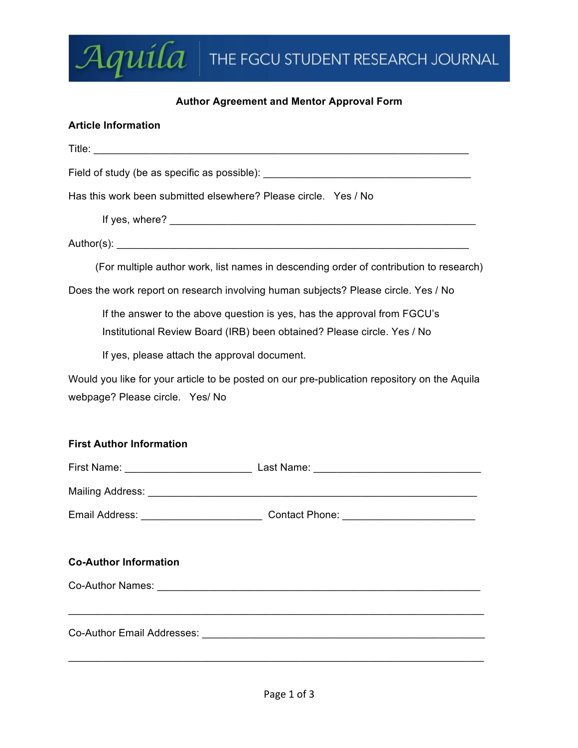# $\mathcal{A}$ quila The FGCU STUDENT RESEARCH JOURNAL

## **Author Agreement and Mentor Approval Form**

## **Article Information**

| Field of study (be as specific as possible): ___________________________________                                                                    |
|-----------------------------------------------------------------------------------------------------------------------------------------------------|
| Has this work been submitted elsewhere? Please circle. Yes / No                                                                                     |
|                                                                                                                                                     |
|                                                                                                                                                     |
| (For multiple author work, list names in descending order of contribution to research)                                                              |
| Does the work report on research involving human subjects? Please circle. Yes / No                                                                  |
| If the answer to the above question is yes, has the approval from FGCU's<br>Institutional Review Board (IRB) been obtained? Please circle. Yes / No |
| If yes, please attach the approval document.                                                                                                        |
| Would you like for your article to be posted on our pre-publication repository on the Aquila<br>webpage? Please circle. Yes/ No                     |
| <b>First Author Information</b>                                                                                                                     |
|                                                                                                                                                     |
|                                                                                                                                                     |
|                                                                                                                                                     |
| <b>Co-Author Information</b>                                                                                                                        |
|                                                                                                                                                     |
|                                                                                                                                                     |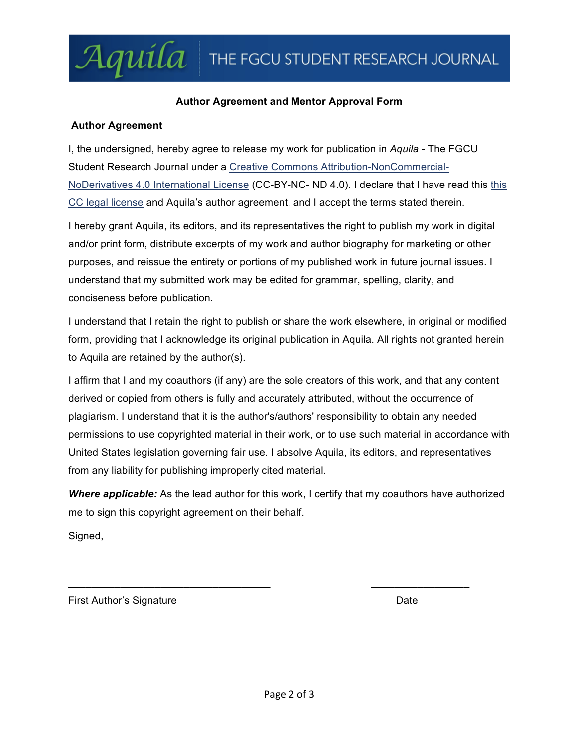## **Author Agreement and Mentor Approval Form**

#### **Author Agreement**

Aquila

I, the undersigned, hereby agree to release my work for publication in *Aquila* - The FGCU Student Research Journal under a Creative Commons Attribution-NonCommercial-NoDerivatives 4.0 International License (CC-BY-NC- ND 4.0). I declare that I have read this this CC legal license and Aquila's author agreement, and I accept the terms stated therein.

I hereby grant Aquila, its editors, and its representatives the right to publish my work in digital and/or print form, distribute excerpts of my work and author biography for marketing or other purposes, and reissue the entirety or portions of my published work in future journal issues. I understand that my submitted work may be edited for grammar, spelling, clarity, and conciseness before publication.

I understand that I retain the right to publish or share the work elsewhere, in original or modified form, providing that I acknowledge its original publication in Aquila. All rights not granted herein to Aquila are retained by the author(s).

I affirm that I and my coauthors (if any) are the sole creators of this work, and that any content derived or copied from others is fully and accurately attributed, without the occurrence of plagiarism. I understand that it is the author's/authors' responsibility to obtain any needed permissions to use copyrighted material in their work, or to use such material in accordance with United States legislation governing fair use. I absolve Aquila, its editors, and representatives from any liability for publishing improperly cited material.

*Where applicable:* As the lead author for this work, I certify that my coauthors have authorized me to sign this copyright agreement on their behalf.

 $\mathcal{L}_\text{max}$  , and the contract of the contract of the contract of the contract of the contract of the contract of the contract of the contract of the contract of the contract of the contract of the contract of the contr

Signed,

**First Author's Signature Community Community** Date Date